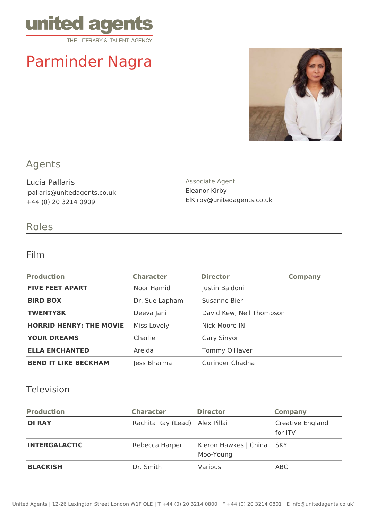

# Parminder Nagra



### Agents

Lucia Pallaris lpallaris@unitedagents.co.uk +44 (0) 20 3214 0909

Associate Agent Eleanor Kirby ElKirby@unitedagents.co.uk

## Roles

#### Film

| <b>Production</b>              | <b>Character</b> | <b>Director</b>          | <b>Company</b> |
|--------------------------------|------------------|--------------------------|----------------|
| <b>FIVE FEET APART</b>         | Noor Hamid       | Justin Baldoni           |                |
| <b>BIRD BOX</b>                | Dr. Sue Lapham   | Susanne Bier             |                |
| <b>TWENTY8K</b>                | Deeva Jani       | David Kew, Neil Thompson |                |
| <b>HORRID HENRY: THE MOVIE</b> | Miss Lovely      | Nick Moore IN            |                |
| <b>YOUR DREAMS</b>             | Charlie          | <b>Gary Sinyor</b>       |                |
| <b>ELLA ENCHANTED</b>          | Areida           | Tommy O'Haver            |                |
| <b>BEND IT LIKE BECKHAM</b>    | Jess Bharma      | Gurinder Chadha          |                |

#### Television

| <b>Production</b>    | <b>Character</b>               | <b>Director</b>                    | <b>Company</b>              |
|----------------------|--------------------------------|------------------------------------|-----------------------------|
| <b>DI RAY</b>        | Rachita Ray (Lead) Alex Pillai |                                    | Creative England<br>for ITV |
| <b>INTERGALACTIC</b> | Rebecca Harper                 | Kieron Hawkes   China<br>Moo-Young | – SKY                       |
| <b>BLACKISH</b>      | Dr. Smith                      | Various                            | ABC                         |